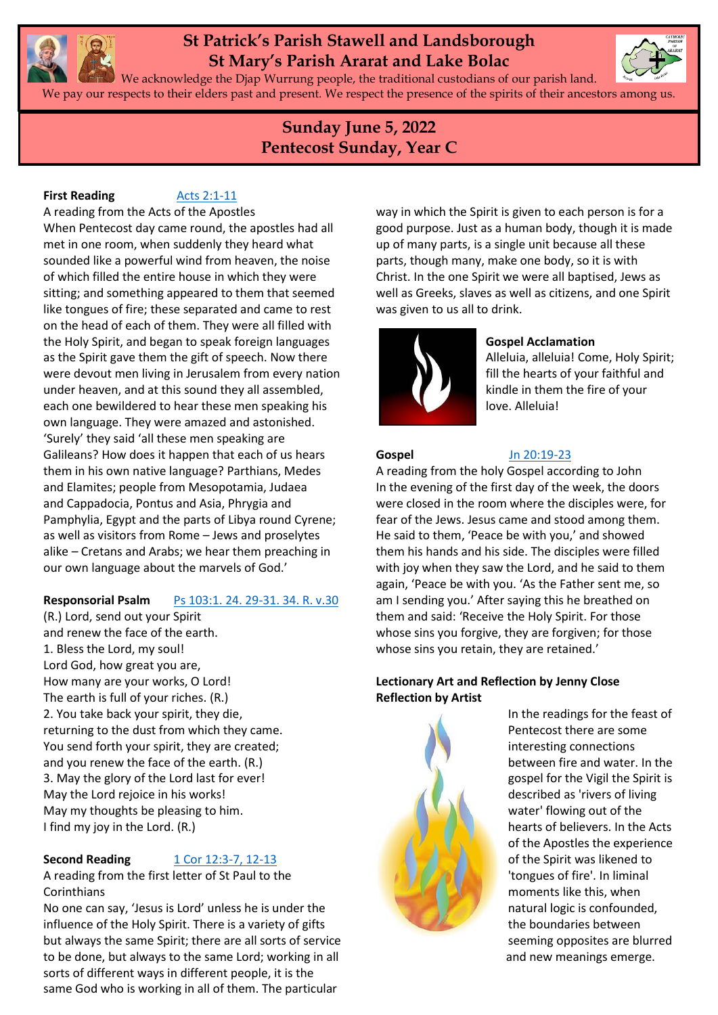

# **St Patrick's Parish Stawell and Landsborough St Mary's Parish Ararat and Lake Bolac**



We acknowledge the Djap Wurrung people, the traditional custodians of our parish land. We pay our respects to their elders past and present. We respect the presence of the spirits of their ancestors among us.

# **Sunday June 5, 2022 Pentecost Sunday, Year C**

### **First Reading [Acts 2:1-11](https://www.liturgyhelp.com/ritual/lectionary/LectionaryList%7Cact#act002)**

A reading from the Acts of the Apostles When Pentecost day came round, the apostles had all met in one room, when suddenly they heard what sounded like a powerful wind from heaven, the noise of which filled the entire house in which they were sitting; and something appeared to them that seemed like tongues of fire; these separated and came to rest on the head of each of them. They were all filled with the Holy Spirit, and began to speak foreign languages as the Spirit gave them the gift of speech. Now there were devout men living in Jerusalem from every nation under heaven, and at this sound they all assembled, each one bewildered to hear these men speaking his own language. They were amazed and astonished. 'Surely' they said 'all these men speaking are Galileans? How does it happen that each of us hears them in his own native language? Parthians, Medes and Elamites; people from Mesopotamia, Judaea and Cappadocia, Pontus and Asia, Phrygia and Pamphylia, Egypt and the parts of Libya round Cyrene; as well as visitors from Rome – Jews and proselytes alike – Cretans and Arabs; we hear them preaching in our own language about the marvels of God.'

# **Responsorial Psalm** [Ps 103:1. 24. 29-31. 34. R. v.30](https://www.liturgyhelp.com/ritual/lectionary/LectionaryListPsalm%7Cpsm)

(R.) Lord, send out your Spirit and renew the face of the earth. 1. Bless the Lord, my soul! Lord God, how great you are, How many are your works, O Lord! The earth is full of your riches. (R.) 2. You take back your spirit, they die, returning to the dust from which they came. You send forth your spirit, they are created: and you renew the face of the earth. (R.) 3. May the glory of the Lord last for ever! May the Lord rejoice in his works! May my thoughts be pleasing to him. I find my joy in the Lord. (R.)

# **Second Reading** [1 Cor 12:3-7, 12-13](https://www.liturgyhelp.com/ritual/lectionary/LectionaryList%7Cco1#co1012)

A reading from the first letter of St Paul to the Corinthians

No one can say, 'Jesus is Lord' unless he is under the influence of the Holy Spirit. There is a variety of gifts but always the same Spirit; there are all sorts of service to be done, but always to the same Lord; working in all sorts of different ways in different people, it is the same God who is working in all of them. The particular

way in which the Spirit is given to each person is for a good purpose. Just as a human body, though it is made up of many parts, is a single unit because all these parts, though many, make one body, so it is with Christ. In the one Spirit we were all baptised, Jews as well as Greeks, slaves as well as citizens, and one Spirit was given to us all to drink.



# **Gospel Acclamation**

Alleluia, alleluia! Come, Holy Spirit; fill the hearts of your faithful and kindle in them the fire of your love. Alleluia!

#### **Gospel** [Jn 20:19-23](https://www.liturgyhelp.com/ritual/lectionary/LectionaryList%7Cjhn#jhn020)

A reading from the holy Gospel according to John In the evening of the first day of the week, the doors were closed in the room where the disciples were, for fear of the Jews. Jesus came and stood among them. He said to them, 'Peace be with you,' and showed them his hands and his side. The disciples were filled with joy when they saw the Lord, and he said to them again, 'Peace be with you. 'As the Father sent me, so am I sending you.' After saying this he breathed on them and said: 'Receive the Holy Spirit. For those whose sins you forgive, they are forgiven; for those whose sins you retain, they are retained.'

# **Lectionary Art and Reflection by Jenny Close Reflection by Artist**



In the readings for the feast of Pentecost there are some interesting connections between fire and water. In the gospel for the Vigil the Spirit is described as 'rivers of living water' flowing out of the hearts of believers. In the Acts of the Apostles the experience of the Spirit was likened to 'tongues of fire'. In liminal moments like this, when natural logic is confounded, the boundaries between seeming opposites are blurred and new meanings emerge.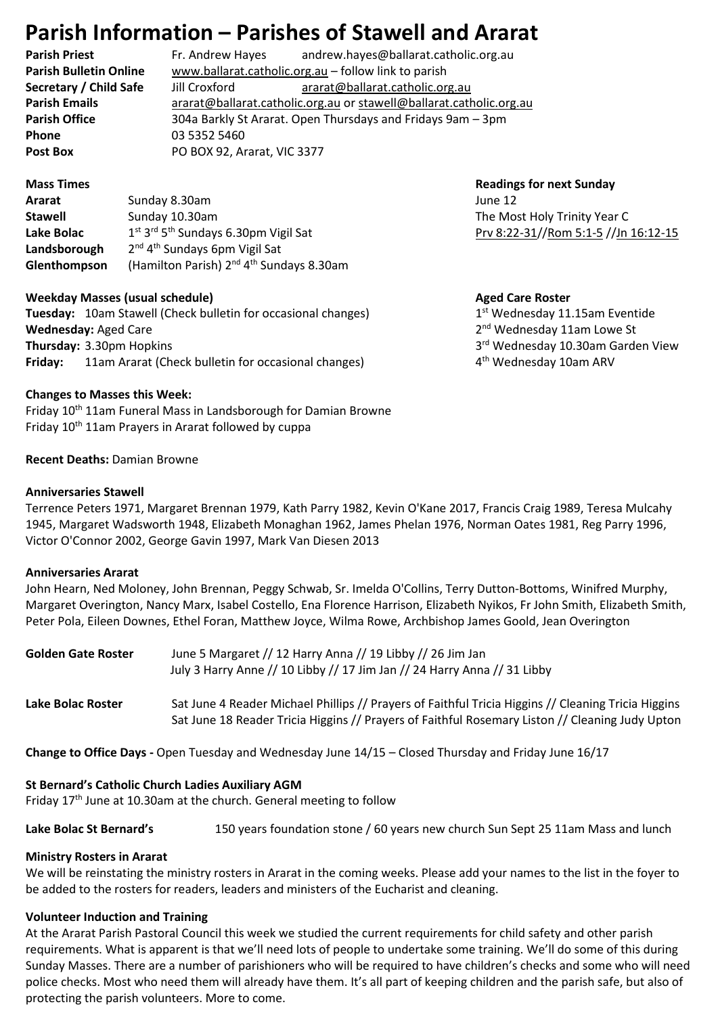# **Parish Information – Parishes of Stawell and Ararat**

**Parish Priest** Fr. Andrew Hayes andrew.hayes@ballarat.catholic.org.au **Parish Bulletin Online** [www.ballarat.catholic.org.au](http://www.ballarat.catholic.org.au/) – follow link to parish **Secretary / Child Safe** Jill Croxford [ararat@ballarat.catholic.org.au](mailto:ararat@ballarat.catholic.org.au) **Parish Emails** [ararat@ballarat.catholic.org.au](mailto:ararat@ballarat.catholic.org.au) or [stawell@ballarat.catholic.org.au](mailto:stawell@ballarat.catholic.org.au) **Parish Office** 304a Barkly St Ararat. Open Thursdays and Fridays 9am – 3pm **Phone** 03 5352 5460 Post Box **PO BOX 92, Ararat, VIC 3377** 

**Ararat Sunday 8.30am June 12 Stawell** Sunday 10.30am Sunday 10.30am Sunday 10.30am Sunday Holy The Most Holy Trinity Year C **Lake Bolac** st 3 rd 5 Landsborough <sup>nd</sup> 4<sup>th</sup> Sundays 6pm Vigil Sat Glenthompson (Hamilton Parish) 2<sup>nd</sup> 4<sup>th</sup> Sundays 8.30am

## **Weekday Masses (usual schedule)** Masses (usual schedule) Aged Care Roster

**Tuesday:** 10am Stawell (Check bulletin for occasional changes) 1 **Wednesday: Aged Care Thursday: 3.30pm Hopkins Friday:** 11am Ararat (Check bulletin for occasional changes) 4

**Mass Times Construction Construction Construction Construction Construction Construction Construction Construction Construction Construction Construction Construction Construction Construction Construction Construction** [Prv 8:22-31/](https://www.liturgyhelp.com/ritual/lectionary/LectionaryList%7Cpro#pro008)[/Rom 5:1-5](https://www.liturgyhelp.com/ritual/lectionary/LectionaryList%7Crom#rom005) /[/Jn 16:12-15](https://www.liturgyhelp.com/ritual/lectionary/LectionaryList%7Cjhn#jhn016)

 $1<sup>st</sup>$  Wednesday 11.15am Eventide 2<sup>nd</sup> Wednesday 11am Lowe St 3rd Wednesday 10.30am Garden View 4<sup>th</sup> Wednesday 10am ARV

### **Changes to Masses this Week:**

Friday 10<sup>th</sup> 11am Funeral Mass in Landsborough for Damian Browne Friday 10th 11am Prayers in Ararat followed by cuppa

### **Recent Deaths:** Damian Browne

### **Anniversaries Stawell**

Terrence Peters 1971, Margaret Brennan 1979, Kath Parry 1982, Kevin O'Kane 2017, Francis Craig 1989, Teresa Mulcahy 1945, Margaret Wadsworth 1948, Elizabeth Monaghan 1962, James Phelan 1976, Norman Oates 1981, Reg Parry 1996, Victor O'Connor 2002, George Gavin 1997, Mark Van Diesen 2013

#### **Anniversaries Ararat**

John Hearn, Ned Moloney, John Brennan, Peggy Schwab, Sr. Imelda O'Collins, Terry Dutton-Bottoms, Winifred Murphy, Margaret Overington, Nancy Marx, Isabel Costello, Ena Florence Harrison, Elizabeth Nyikos, Fr John Smith, Elizabeth Smith, Peter Pola, Eileen Downes, Ethel Foran, Matthew Joyce, Wilma Rowe, Archbishop James Goold, Jean Overington

| <b>Golden Gate Roster</b> | June 5 Margaret // 12 Harry Anna // 19 Libby // 26 Jim Jan<br>July 3 Harry Anne // 10 Libby // 17 Jim Jan // 24 Harry Anna // 31 Libby                                                                 |
|---------------------------|--------------------------------------------------------------------------------------------------------------------------------------------------------------------------------------------------------|
| Lake Bolac Roster         | Sat June 4 Reader Michael Phillips // Prayers of Faithful Tricia Higgins // Cleaning Tricia Higgins<br>Sat June 18 Reader Tricia Higgins // Prayers of Faithful Rosemary Liston // Cleaning Judy Upton |

**Change to Office Days -** Open Tuesday and Wednesday June 14/15 – Closed Thursday and Friday June 16/17

# **St Bernard's Catholic Church Ladies Auxiliary AGM**

Friday  $17<sup>th</sup>$  June at 10.30am at the church. General meeting to follow

**Lake Bolac St Bernard's** 150 years foundation stone / 60 years new church Sun Sept 25 11am Mass and lunch

# **Ministry Rosters in Ararat**

We will be reinstating the ministry rosters in Ararat in the coming weeks. Please add your names to the list in the foyer to be added to the rosters for readers, leaders and ministers of the Eucharist and cleaning.

# **Volunteer Induction and Training**

At the Ararat Parish Pastoral Council this week we studied the current requirements for child safety and other parish requirements. What is apparent is that we'll need lots of people to undertake some training. We'll do some of this during Sunday Masses. There are a number of parishioners who will be required to have children's checks and some who will need police checks. Most who need them will already have them. It's all part of keeping children and the parish safe, but also of protecting the parish volunteers. More to come.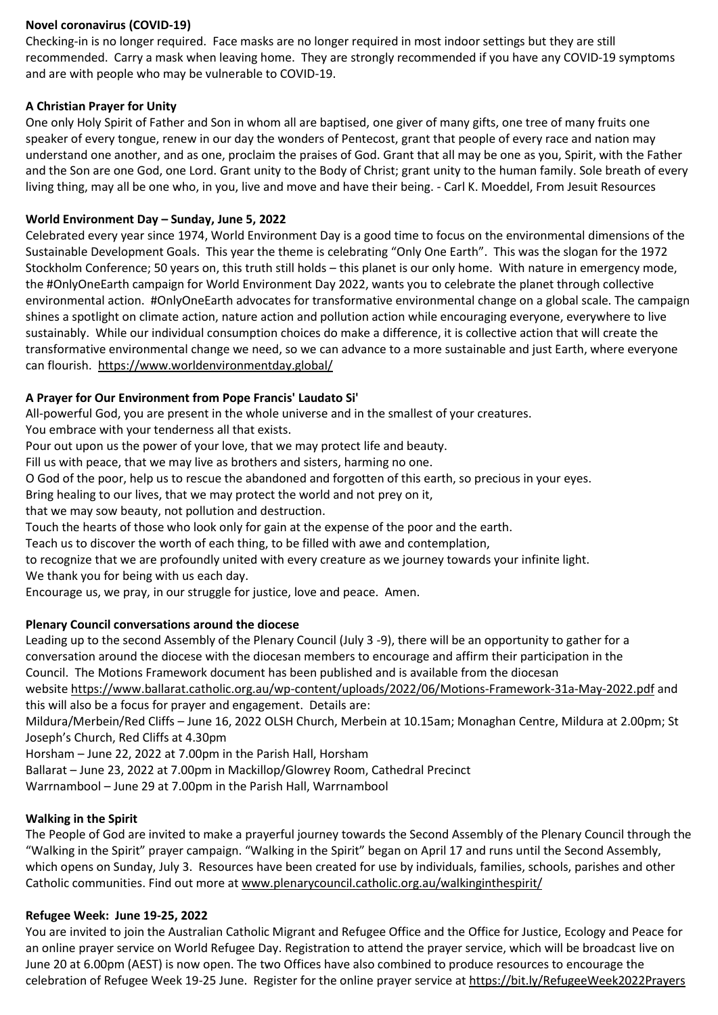# **Novel coronavirus (COVID-19)**

Checking-in is no longer required. Face masks are no longer required in most indoor settings but they are still recommended. Carry a mask when leaving home. They are strongly recommended if you have any COVID-19 symptoms and are with people who may be vulnerable to COVID-19.

# **A Christian Prayer for Unity**

One only Holy Spirit of Father and Son in whom all are baptised, one giver of many gifts, one tree of many fruits one speaker of every tongue, renew in our day the wonders of Pentecost, grant that people of every race and nation may understand one another, and as one, proclaim the praises of God. Grant that all may be one as you, Spirit, with the Father and the Son are one God, one Lord. Grant unity to the Body of Christ; grant unity to the human family. Sole breath of every living thing, may all be one who, in you, live and move and have their being. - Carl K. Moeddel, From Jesuit Resources

# **World Environment Day – Sunday, June 5, 2022**

Celebrated every year since 1974, World Environment Day is a good time to focus on the environmental dimensions of the Sustainable Development Goals. This year the theme is celebrating "Only One Earth". This was the slogan for the 1972 Stockholm Conference; 50 years on, this truth still holds – this planet is our only home. With nature in emergency mode, the #OnlyOneEarth campaign for World Environment Day 2022, wants you to celebrate the planet through collective environmental action. #OnlyOneEarth advocates for transformative environmental change on a global scale. The campaign shines a spotlight on climate action, nature action and pollution action while encouraging everyone, everywhere to live sustainably. While our individual consumption choices do make a difference, it is collective action that will create the transformative environmental change we need, so we can advance to a more sustainable and just Earth, where everyone can flourish. <https://www.worldenvironmentday.global/>

# **A Prayer for Our Environment from Pope Francis' Laudato Si'**

All-powerful God, you are present in the whole universe and in the smallest of your creatures.

You embrace with your tenderness all that exists.

Pour out upon us the power of your love, that we may protect life and beauty.

Fill us with peace, that we may live as brothers and sisters, harming no one.

O God of the poor, help us to rescue the abandoned and forgotten of this earth, so precious in your eyes.

Bring healing to our lives, that we may protect the world and not prey on it,

that we may sow beauty, not pollution and destruction.

Touch the hearts of those who look only for gain at the expense of the poor and the earth.

Teach us to discover the worth of each thing, to be filled with awe and contemplation,

to recognize that we are profoundly united with every creature as we journey towards your infinite light.

We thank you for being with us each day.

Encourage us, we pray, in our struggle for justice, love and peace. Amen.

# **Plenary Council conversations around the diocese**

Leading up to the second Assembly of the Plenary Council (July 3 -9), there will be an opportunity to gather for a conversation around the diocese with the diocesan members to encourage and affirm their participation in the Council. The Motions Framework document has been published and is available from the diocesan

website <https://www.ballarat.catholic.org.au/wp-content/uploads/2022/06/Motions-Framework-31a-May-2022.pdf> and this will also be a focus for prayer and engagement. Details are:

Mildura/Merbein/Red Cliffs – June 16, 2022 OLSH Church, Merbein at 10.15am; Monaghan Centre, Mildura at 2.00pm; St Joseph's Church, Red Cliffs at 4.30pm

Horsham – June 22, 2022 at 7.00pm in the Parish Hall, Horsham

Ballarat – June 23, 2022 at 7.00pm in Mackillop/Glowrey Room, Cathedral Precinct

Warrnambool – June 29 at 7.00pm in the Parish Hall, Warrnambool

# **Walking in the Spirit**

The People of God are invited to make a prayerful journey towards the Second Assembly of the Plenary Council through the "Walking in the Spirit" prayer campaign. "Walking in the Spirit" began on April 17 and runs until the Second Assembly, which opens on Sunday, July 3. Resources have been created for use by individuals, families, schools, parishes and other Catholic communities. Find out more at [www.plenarycouncil.catholic.org.au/walkinginthespirit/](http://www.plenarycouncil.catholic.org.au/walkinginthespirit/)

## **Refugee Week: June 19-25, 2022**

You are invited to join the Australian Catholic Migrant and Refugee Office and the Office for Justice, Ecology and Peace for an online prayer service on World Refugee Day. Registration to attend the prayer service, which will be broadcast live on June 20 at 6.00pm (AEST) is now open. The two Offices have also combined to produce resources to encourage the celebration of Refugee Week 19-25 June. Register for the online prayer service at <https://bit.ly/RefugeeWeek2022Prayers>